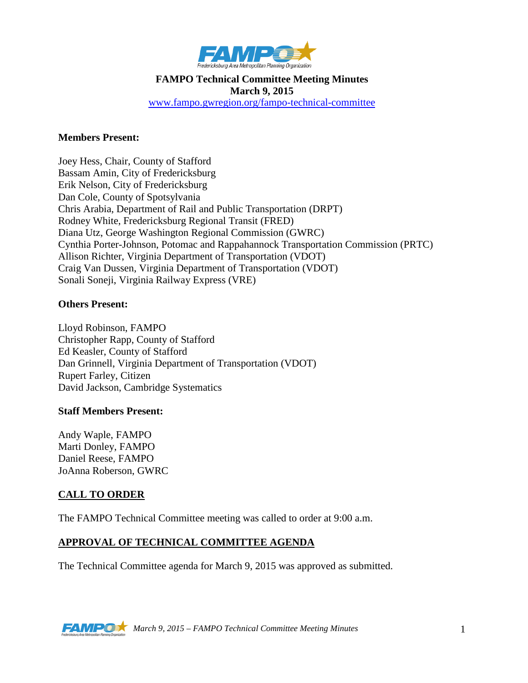

#### **FAMPO Technical Committee Meeting Minutes March 9, 2015** [www.fampo.gwregion.org/fampo-technical-committee](http://www.fampo.gwregion.org/fampo-technical-committee)

#### **Members Present:**

Joey Hess, Chair, County of Stafford Bassam Amin, City of Fredericksburg Erik Nelson, City of Fredericksburg Dan Cole, County of Spotsylvania Chris Arabia, Department of Rail and Public Transportation (DRPT) Rodney White, Fredericksburg Regional Transit (FRED) Diana Utz, George Washington Regional Commission (GWRC) Cynthia Porter-Johnson, Potomac and Rappahannock Transportation Commission (PRTC) Allison Richter, Virginia Department of Transportation (VDOT) Craig Van Dussen, Virginia Department of Transportation (VDOT) Sonali Soneji, Virginia Railway Express (VRE)

#### **Others Present:**

Lloyd Robinson, FAMPO Christopher Rapp, County of Stafford Ed Keasler, County of Stafford Dan Grinnell, Virginia Department of Transportation (VDOT) Rupert Farley, Citizen David Jackson, Cambridge Systematics

#### **Staff Members Present:**

Andy Waple, FAMPO Marti Donley, FAMPO Daniel Reese, FAMPO JoAnna Roberson, GWRC

#### **CALL TO ORDER**

The FAMPO Technical Committee meeting was called to order at 9:00 a.m.

#### **APPROVAL OF TECHNICAL COMMITTEE AGENDA**

The Technical Committee agenda for March 9, 2015 was approved as submitted.

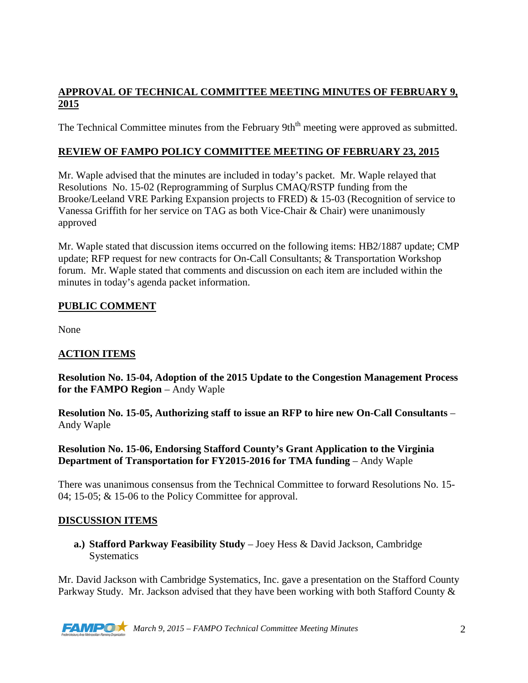## **APPROVAL OF TECHNICAL COMMITTEE MEETING MINUTES OF FEBRUARY 9, 2015**

The Technical Committee minutes from the February 9th<sup>th</sup> meeting were approved as submitted.

### **REVIEW OF FAMPO POLICY COMMITTEE MEETING OF FEBRUARY 23, 2015**

Mr. Waple advised that the minutes are included in today's packet. Mr. Waple relayed that Resolutions No. 15-02 (Reprogramming of Surplus CMAQ/RSTP funding from the Brooke/Leeland VRE Parking Expansion projects to FRED) & 15-03 (Recognition of service to Vanessa Griffith for her service on TAG as both Vice-Chair & Chair) were unanimously approved

Mr. Waple stated that discussion items occurred on the following items: HB2/1887 update; CMP update; RFP request for new contracts for On-Call Consultants; & Transportation Workshop forum. Mr. Waple stated that comments and discussion on each item are included within the minutes in today's agenda packet information.

### **PUBLIC COMMENT**

None

## **ACTION ITEMS**

**Resolution No. 15-04, Adoption of the 2015 Update to the Congestion Management Process for the FAMPO Region** – Andy Waple

**Resolution No. 15-05, Authorizing staff to issue an RFP to hire new On-Call Consultants** – Andy Waple

### **Resolution No. 15-06, Endorsing Stafford County's Grant Application to the Virginia Department of Transportation for FY2015-2016 for TMA funding – Andy Waple**

There was unanimous consensus from the Technical Committee to forward Resolutions No. 15- 04; 15-05; & 15-06 to the Policy Committee for approval.

### **DISCUSSION ITEMS**

**a.) Stafford Parkway Feasibility Study** – Joey Hess & David Jackson, Cambridge **Systematics** 

Mr. David Jackson with Cambridge Systematics, Inc. gave a presentation on the Stafford County Parkway Study. Mr. Jackson advised that they have been working with both Stafford County &

*March 9, 2015 – FAMPO Technical Committee Meeting Minutes* 2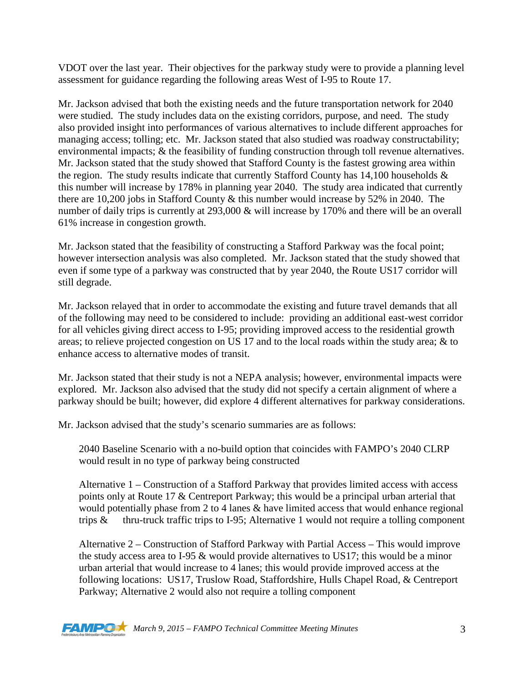VDOT over the last year. Their objectives for the parkway study were to provide a planning level assessment for guidance regarding the following areas West of I-95 to Route 17.

Mr. Jackson advised that both the existing needs and the future transportation network for 2040 were studied. The study includes data on the existing corridors, purpose, and need. The study also provided insight into performances of various alternatives to include different approaches for managing access; tolling; etc. Mr. Jackson stated that also studied was roadway constructability; environmental impacts; & the feasibility of funding construction through toll revenue alternatives. Mr. Jackson stated that the study showed that Stafford County is the fastest growing area within the region. The study results indicate that currently Stafford County has  $14,100$  households  $\&$ this number will increase by 178% in planning year 2040. The study area indicated that currently there are 10,200 jobs in Stafford County & this number would increase by 52% in 2040. The number of daily trips is currently at 293,000 & will increase by 170% and there will be an overall 61% increase in congestion growth.

Mr. Jackson stated that the feasibility of constructing a Stafford Parkway was the focal point; however intersection analysis was also completed. Mr. Jackson stated that the study showed that even if some type of a parkway was constructed that by year 2040, the Route US17 corridor will still degrade.

Mr. Jackson relayed that in order to accommodate the existing and future travel demands that all of the following may need to be considered to include: providing an additional east-west corridor for all vehicles giving direct access to I-95; providing improved access to the residential growth areas; to relieve projected congestion on US 17 and to the local roads within the study area; & to enhance access to alternative modes of transit.

Mr. Jackson stated that their study is not a NEPA analysis; however, environmental impacts were explored. Mr. Jackson also advised that the study did not specify a certain alignment of where a parkway should be built; however, did explore 4 different alternatives for parkway considerations.

Mr. Jackson advised that the study's scenario summaries are as follows:

2040 Baseline Scenario with a no-build option that coincides with FAMPO's 2040 CLRP would result in no type of parkway being constructed

Alternative 1 – Construction of a Stafford Parkway that provides limited access with access points only at Route 17 & Centreport Parkway; this would be a principal urban arterial that would potentially phase from 2 to 4 lanes & have limited access that would enhance regional trips  $\&$  thru-truck traffic trips to I-95; Alternative 1 would not require a tolling component

Alternative 2 – Construction of Stafford Parkway with Partial Access – This would improve the study access area to I-95 & would provide alternatives to US17; this would be a minor urban arterial that would increase to 4 lanes; this would provide improved access at the following locations: US17, Truslow Road, Staffordshire, Hulls Chapel Road, & Centreport Parkway; Alternative 2 would also not require a tolling component

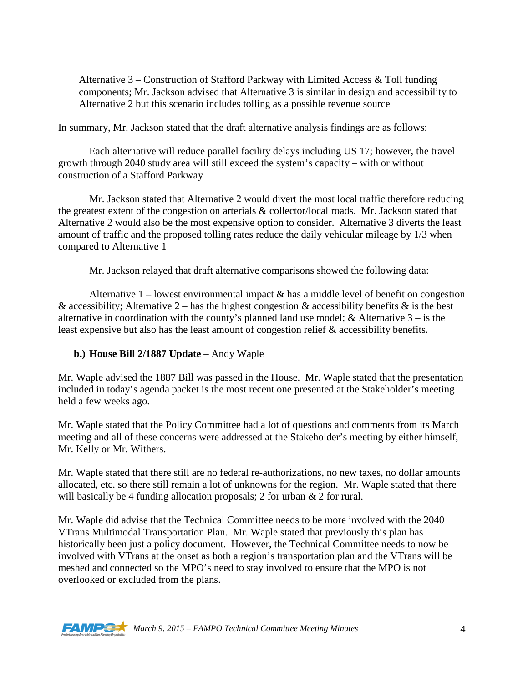Alternative 3 – Construction of Stafford Parkway with Limited Access & Toll funding components; Mr. Jackson advised that Alternative 3 is similar in design and accessibility to Alternative 2 but this scenario includes tolling as a possible revenue source

In summary, Mr. Jackson stated that the draft alternative analysis findings are as follows:

Each alternative will reduce parallel facility delays including US 17; however, the travel growth through 2040 study area will still exceed the system's capacity – with or without construction of a Stafford Parkway

Mr. Jackson stated that Alternative 2 would divert the most local traffic therefore reducing the greatest extent of the congestion on arterials & collector/local roads. Mr. Jackson stated that Alternative 2 would also be the most expensive option to consider. Alternative 3 diverts the least amount of traffic and the proposed tolling rates reduce the daily vehicular mileage by 1/3 when compared to Alternative 1

Mr. Jackson relayed that draft alternative comparisons showed the following data:

Alternative  $1$  – lowest environmental impact  $\&$  has a middle level of benefit on congestion & accessibility; Alternative 2 – has the highest congestion & accessibility benefits & is the best alternative in coordination with the county's planned land use model;  $\&$  Alternative  $3 -$  is the least expensive but also has the least amount of congestion relief & accessibility benefits.

### **b.) House Bill 2/1887 Update** – Andy Waple

Mr. Waple advised the 1887 Bill was passed in the House. Mr. Waple stated that the presentation included in today's agenda packet is the most recent one presented at the Stakeholder's meeting held a few weeks ago.

Mr. Waple stated that the Policy Committee had a lot of questions and comments from its March meeting and all of these concerns were addressed at the Stakeholder's meeting by either himself, Mr. Kelly or Mr. Withers.

Mr. Waple stated that there still are no federal re-authorizations, no new taxes, no dollar amounts allocated, etc. so there still remain a lot of unknowns for the region. Mr. Waple stated that there will basically be 4 funding allocation proposals; 2 for urban & 2 for rural.

Mr. Waple did advise that the Technical Committee needs to be more involved with the 2040 VTrans Multimodal Transportation Plan. Mr. Waple stated that previously this plan has historically been just a policy document. However, the Technical Committee needs to now be involved with VTrans at the onset as both a region's transportation plan and the VTrans will be meshed and connected so the MPO's need to stay involved to ensure that the MPO is not overlooked or excluded from the plans.

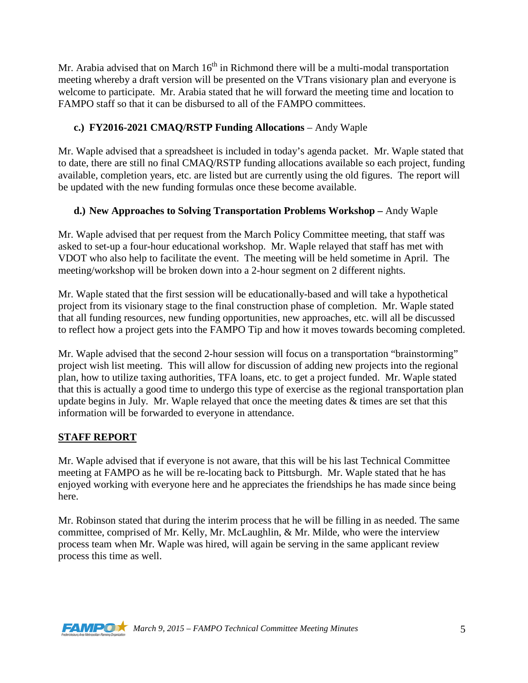Mr. Arabia advised that on March  $16<sup>th</sup>$  in Richmond there will be a multi-modal transportation meeting whereby a draft version will be presented on the VTrans visionary plan and everyone is welcome to participate. Mr. Arabia stated that he will forward the meeting time and location to FAMPO staff so that it can be disbursed to all of the FAMPO committees.

# **c.) FY2016-2021 CMAQ/RSTP Funding Allocations** – Andy Waple

Mr. Waple advised that a spreadsheet is included in today's agenda packet. Mr. Waple stated that to date, there are still no final CMAQ/RSTP funding allocations available so each project, funding available, completion years, etc. are listed but are currently using the old figures. The report will be updated with the new funding formulas once these become available.

# **d.) New Approaches to Solving Transportation Problems Workshop –** Andy Waple

Mr. Waple advised that per request from the March Policy Committee meeting, that staff was asked to set-up a four-hour educational workshop. Mr. Waple relayed that staff has met with VDOT who also help to facilitate the event. The meeting will be held sometime in April. The meeting/workshop will be broken down into a 2-hour segment on 2 different nights.

Mr. Waple stated that the first session will be educationally-based and will take a hypothetical project from its visionary stage to the final construction phase of completion. Mr. Waple stated that all funding resources, new funding opportunities, new approaches, etc. will all be discussed to reflect how a project gets into the FAMPO Tip and how it moves towards becoming completed.

Mr. Waple advised that the second 2-hour session will focus on a transportation "brainstorming" project wish list meeting. This will allow for discussion of adding new projects into the regional plan, how to utilize taxing authorities, TFA loans, etc. to get a project funded. Mr. Waple stated that this is actually a good time to undergo this type of exercise as the regional transportation plan update begins in July. Mr. Waple relayed that once the meeting dates  $\&$  times are set that this information will be forwarded to everyone in attendance.

# **STAFF REPORT**

Mr. Waple advised that if everyone is not aware, that this will be his last Technical Committee meeting at FAMPO as he will be re-locating back to Pittsburgh. Mr. Waple stated that he has enjoyed working with everyone here and he appreciates the friendships he has made since being here.

Mr. Robinson stated that during the interim process that he will be filling in as needed. The same committee, comprised of Mr. Kelly, Mr. McLaughlin, & Mr. Milde, who were the interview process team when Mr. Waple was hired, will again be serving in the same applicant review process this time as well.